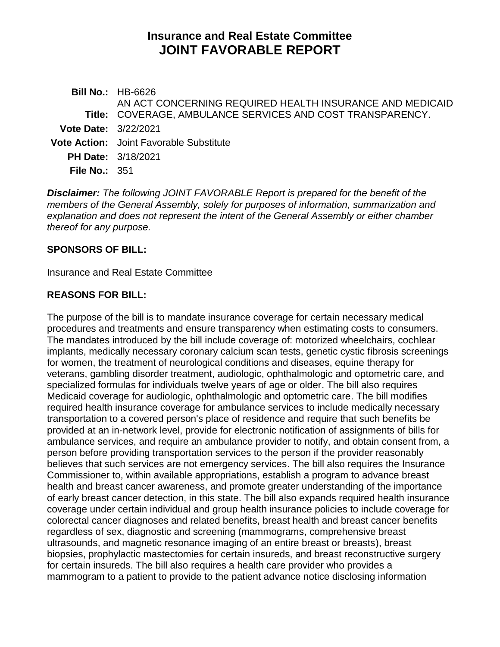# **Insurance and Real Estate Committee JOINT FAVORABLE REPORT**

**Bill No.:** HB-6626 **Title:** COVERAGE, AMBULANCE SERVICES AND COST TRANSPARENCY. AN ACT CONCERNING REQUIRED HEALTH INSURANCE AND MEDICAID **Vote Date:** 3/22/2021 **Vote Action:** Joint Favorable Substitute **PH Date:** 3/18/2021 **File No.:** 351

*Disclaimer: The following JOINT FAVORABLE Report is prepared for the benefit of the members of the General Assembly, solely for purposes of information, summarization and explanation and does not represent the intent of the General Assembly or either chamber thereof for any purpose.*

### **SPONSORS OF BILL:**

Insurance and Real Estate Committee

### **REASONS FOR BILL:**

The purpose of the bill is to mandate insurance coverage for certain necessary medical procedures and treatments and ensure transparency when estimating costs to consumers. The mandates introduced by the bill include coverage of: motorized wheelchairs, cochlear implants, medically necessary coronary calcium scan tests, genetic cystic fibrosis screenings for women, the treatment of neurological conditions and diseases, equine therapy for veterans, gambling disorder treatment, audiologic, ophthalmologic and optometric care, and specialized formulas for individuals twelve years of age or older. The bill also requires Medicaid coverage for audiologic, ophthalmologic and optometric care. The bill modifies required health insurance coverage for ambulance services to include medically necessary transportation to a covered person's place of residence and require that such benefits be provided at an in-network level, provide for electronic notification of assignments of bills for ambulance services, and require an ambulance provider to notify, and obtain consent from, a person before providing transportation services to the person if the provider reasonably believes that such services are not emergency services. The bill also requires the Insurance Commissioner to, within available appropriations, establish a program to advance breast health and breast cancer awareness, and promote greater understanding of the importance of early breast cancer detection, in this state. The bill also expands required health insurance coverage under certain individual and group health insurance policies to include coverage for colorectal cancer diagnoses and related benefits, breast health and breast cancer benefits regardless of sex, diagnostic and screening (mammograms, comprehensive breast ultrasounds, and magnetic resonance imaging of an entire breast or breasts), breast biopsies, prophylactic mastectomies for certain insureds, and breast reconstructive surgery for certain insureds. The bill also requires a health care provider who provides a mammogram to a patient to provide to the patient advance notice disclosing information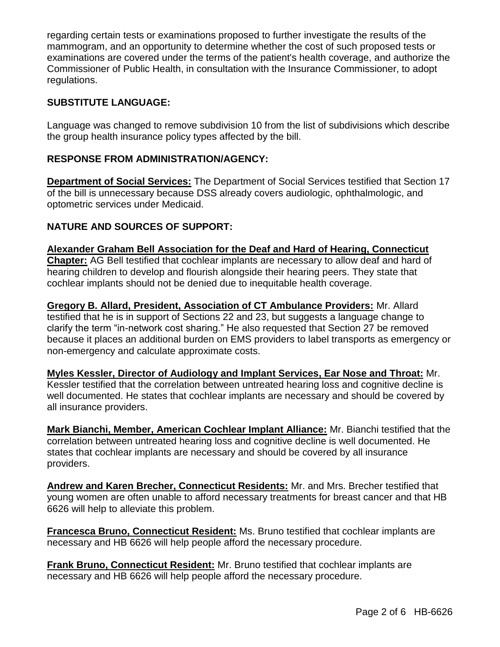regarding certain tests or examinations proposed to further investigate the results of the mammogram, and an opportunity to determine whether the cost of such proposed tests or examinations are covered under the terms of the patient's health coverage, and authorize the Commissioner of Public Health, in consultation with the Insurance Commissioner, to adopt regulations.

# **SUBSTITUTE LANGUAGE:**

Language was changed to remove subdivision 10 from the list of subdivisions which describe the group health insurance policy types affected by the bill.

# **RESPONSE FROM ADMINISTRATION/AGENCY:**

**Department of Social Services:** The Department of Social Services testified that Section 17 of the bill is unnecessary because DSS already covers audiologic, ophthalmologic, and optometric services under Medicaid.

### **NATURE AND SOURCES OF SUPPORT:**

**Alexander Graham Bell Association for the Deaf and Hard of Hearing, Connecticut Chapter:** AG Bell testified that cochlear implants are necessary to allow deaf and hard of hearing children to develop and flourish alongside their hearing peers. They state that cochlear implants should not be denied due to inequitable health coverage.

**Gregory B. Allard, President, Association of CT Ambulance Providers:** Mr. Allard testified that he is in support of Sections 22 and 23, but suggests a language change to clarify the term "in-network cost sharing." He also requested that Section 27 be removed because it places an additional burden on EMS providers to label transports as emergency or non-emergency and calculate approximate costs.

**Myles Kessler, Director of Audiology and Implant Services, Ear Nose and Throat:** Mr.

Kessler testified that the correlation between untreated hearing loss and cognitive decline is well documented. He states that cochlear implants are necessary and should be covered by all insurance providers.

**Mark Bianchi, Member, American Cochlear Implant Alliance:** Mr. Bianchi testified that the correlation between untreated hearing loss and cognitive decline is well documented. He states that cochlear implants are necessary and should be covered by all insurance providers.

**Andrew and Karen Brecher, Connecticut Residents:** Mr. and Mrs. Brecher testified that young women are often unable to afford necessary treatments for breast cancer and that HB 6626 will help to alleviate this problem.

**Francesca Bruno, Connecticut Resident:** Ms. Bruno testified that cochlear implants are necessary and HB 6626 will help people afford the necessary procedure.

**Frank Bruno, Connecticut Resident:** Mr. Bruno testified that cochlear implants are necessary and HB 6626 will help people afford the necessary procedure.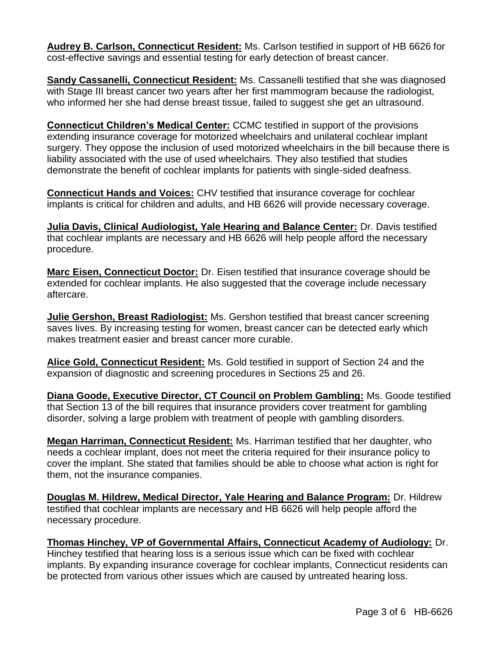**Audrey B. Carlson, Connecticut Resident:** Ms. Carlson testified in support of HB 6626 for cost-effective savings and essential testing for early detection of breast cancer.

**Sandy Cassanelli, Connecticut Resident:** Ms. Cassanelli testified that she was diagnosed with Stage III breast cancer two years after her first mammogram because the radiologist, who informed her she had dense breast tissue, failed to suggest she get an ultrasound.

**Connecticut Children's Medical Center:** CCMC testified in support of the provisions extending insurance coverage for motorized wheelchairs and unilateral cochlear implant surgery. They oppose the inclusion of used motorized wheelchairs in the bill because there is liability associated with the use of used wheelchairs. They also testified that studies demonstrate the benefit of cochlear implants for patients with single-sided deafness.

**Connecticut Hands and Voices:** CHV testified that insurance coverage for cochlear implants is critical for children and adults, and HB 6626 will provide necessary coverage.

**Julia Davis, Clinical Audiologist, Yale Hearing and Balance Center:** Dr. Davis testified that cochlear implants are necessary and HB 6626 will help people afford the necessary procedure.

**Marc Eisen, Connecticut Doctor:** Dr. Eisen testified that insurance coverage should be extended for cochlear implants. He also suggested that the coverage include necessary aftercare.

**Julie Gershon, Breast Radiologist:** Ms. Gershon testified that breast cancer screening saves lives. By increasing testing for women, breast cancer can be detected early which makes treatment easier and breast cancer more curable.

**Alice Gold, Connecticut Resident:** Ms. Gold testified in support of Section 24 and the expansion of diagnostic and screening procedures in Sections 25 and 26.

**Diana Goode, Executive Director, CT Council on Problem Gambling:** Ms. Goode testified that Section 13 of the bill requires that insurance providers cover treatment for gambling disorder, solving a large problem with treatment of people with gambling disorders.

**Megan Harriman, Connecticut Resident:** Ms. Harriman testified that her daughter, who needs a cochlear implant, does not meet the criteria required for their insurance policy to cover the implant. She stated that families should be able to choose what action is right for them, not the insurance companies.

**Douglas M. Hildrew, Medical Director, Yale Hearing and Balance Program:** Dr. Hildrew testified that cochlear implants are necessary and HB 6626 will help people afford the necessary procedure.

**Thomas Hinchey, VP of Governmental Affairs, Connecticut Academy of Audiology:** Dr. Hinchey testified that hearing loss is a serious issue which can be fixed with cochlear implants. By expanding insurance coverage for cochlear implants, Connecticut residents can be protected from various other issues which are caused by untreated hearing loss.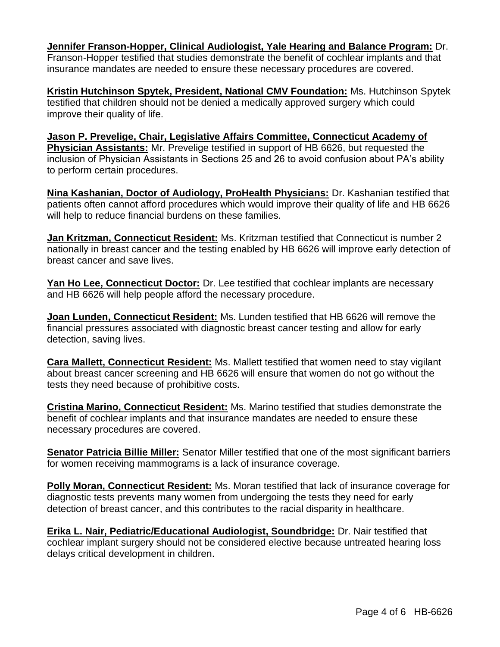**Jennifer Franson-Hopper, Clinical Audiologist, Yale Hearing and Balance Program:** Dr. Franson-Hopper testified that studies demonstrate the benefit of cochlear implants and that insurance mandates are needed to ensure these necessary procedures are covered.

**Kristin Hutchinson Spytek, President, National CMV Foundation:** Ms. Hutchinson Spytek testified that children should not be denied a medically approved surgery which could improve their quality of life.

**Jason P. Prevelige, Chair, Legislative Affairs Committee, Connecticut Academy of Physician Assistants:** Mr. Prevelige testified in support of HB 6626, but requested the inclusion of Physician Assistants in Sections 25 and 26 to avoid confusion about PA's ability to perform certain procedures.

**Nina Kashanian, Doctor of Audiology, ProHealth Physicians:** Dr. Kashanian testified that patients often cannot afford procedures which would improve their quality of life and HB 6626 will help to reduce financial burdens on these families.

**Jan Kritzman, Connecticut Resident:** Ms. Kritzman testified that Connecticut is number 2 nationally in breast cancer and the testing enabled by HB 6626 will improve early detection of breast cancer and save lives.

**Yan Ho Lee, Connecticut Doctor:** Dr. Lee testified that cochlear implants are necessary and HB 6626 will help people afford the necessary procedure.

**Joan Lunden, Connecticut Resident:** Ms. Lunden testified that HB 6626 will remove the financial pressures associated with diagnostic breast cancer testing and allow for early detection, saving lives.

**Cara Mallett, Connecticut Resident:** Ms. Mallett testified that women need to stay vigilant about breast cancer screening and HB 6626 will ensure that women do not go without the tests they need because of prohibitive costs.

**Cristina Marino, Connecticut Resident:** Ms. Marino testified that studies demonstrate the benefit of cochlear implants and that insurance mandates are needed to ensure these necessary procedures are covered.

**Senator Patricia Billie Miller:** Senator Miller testified that one of the most significant barriers for women receiving mammograms is a lack of insurance coverage.

**Polly Moran, Connecticut Resident:** Ms. Moran testified that lack of insurance coverage for diagnostic tests prevents many women from undergoing the tests they need for early detection of breast cancer, and this contributes to the racial disparity in healthcare.

**Erika L. Nair, Pediatric/Educational Audiologist, Soundbridge:** Dr. Nair testified that cochlear implant surgery should not be considered elective because untreated hearing loss delays critical development in children.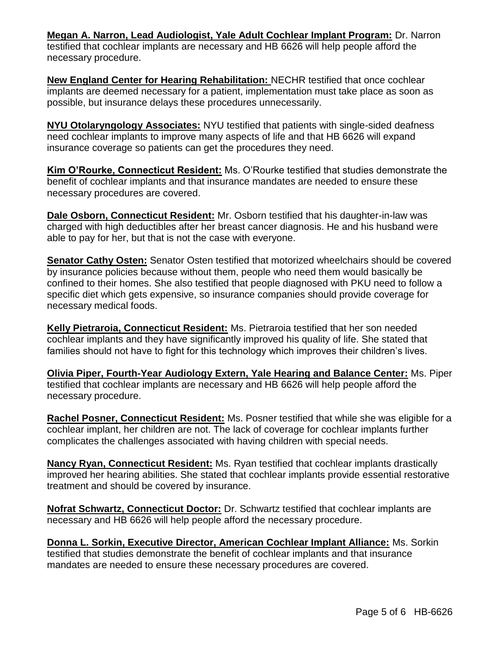**Megan A. Narron, Lead Audiologist, Yale Adult Cochlear Implant Program:** Dr. Narron testified that cochlear implants are necessary and HB 6626 will help people afford the necessary procedure.

**New England Center for Hearing Rehabilitation:** NECHR testified that once cochlear implants are deemed necessary for a patient, implementation must take place as soon as possible, but insurance delays these procedures unnecessarily.

**NYU Otolaryngology Associates:** NYU testified that patients with single-sided deafness need cochlear implants to improve many aspects of life and that HB 6626 will expand insurance coverage so patients can get the procedures they need.

**Kim O'Rourke, Connecticut Resident:** Ms. O'Rourke testified that studies demonstrate the benefit of cochlear implants and that insurance mandates are needed to ensure these necessary procedures are covered.

**Dale Osborn, Connecticut Resident:** Mr. Osborn testified that his daughter-in-law was charged with high deductibles after her breast cancer diagnosis. He and his husband were able to pay for her, but that is not the case with everyone.

**Senator Cathy Osten:** Senator Osten testified that motorized wheelchairs should be covered by insurance policies because without them, people who need them would basically be confined to their homes. She also testified that people diagnosed with PKU need to follow a specific diet which gets expensive, so insurance companies should provide coverage for necessary medical foods.

**Kelly Pietraroia, Connecticut Resident:** Ms. Pietraroia testified that her son needed cochlear implants and they have significantly improved his quality of life. She stated that families should not have to fight for this technology which improves their children's lives.

**Olivia Piper, Fourth-Year Audiology Extern, Yale Hearing and Balance Center:** Ms. Piper testified that cochlear implants are necessary and HB 6626 will help people afford the necessary procedure.

**Rachel Posner, Connecticut Resident:** Ms. Posner testified that while she was eligible for a cochlear implant, her children are not. The lack of coverage for cochlear implants further complicates the challenges associated with having children with special needs.

**Nancy Ryan, Connecticut Resident:** Ms. Ryan testified that cochlear implants drastically improved her hearing abilities. She stated that cochlear implants provide essential restorative treatment and should be covered by insurance.

**Nofrat Schwartz, Connecticut Doctor:** Dr. Schwartz testified that cochlear implants are necessary and HB 6626 will help people afford the necessary procedure.

**Donna L. Sorkin, Executive Director, American Cochlear Implant Alliance:** Ms. Sorkin testified that studies demonstrate the benefit of cochlear implants and that insurance mandates are needed to ensure these necessary procedures are covered.